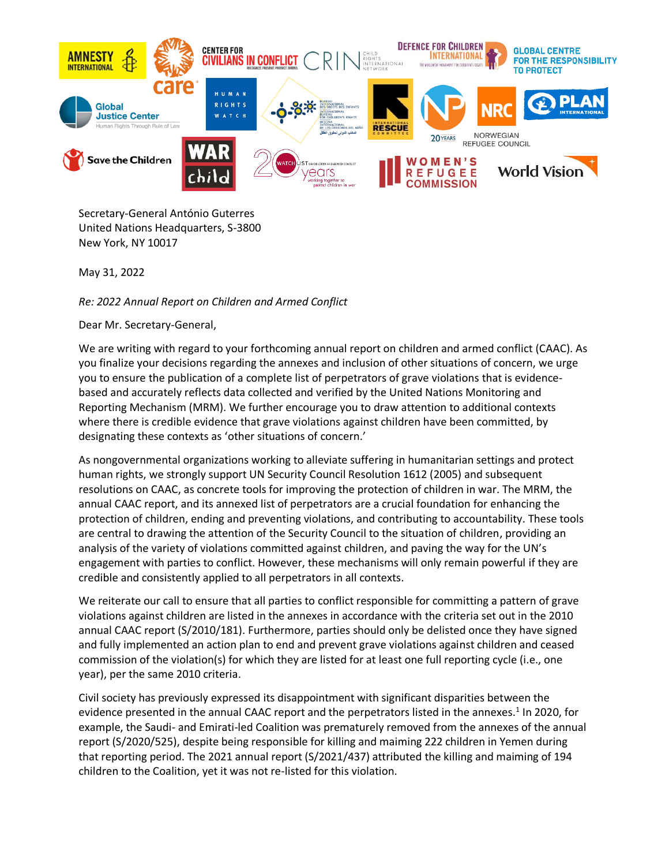

Secretary-General António Guterres United Nations Headquarters, S-3800 New York, NY 10017

May 31, 2022

*Re: 2022 Annual Report on Children and Armed Conflict*

Dear Mr. Secretary-General,

We are writing with regard to your forthcoming annual report on children and armed conflict (CAAC). As you finalize your decisions regarding the annexes and inclusion of other situations of concern, we urge you to ensure the publication of a complete list of perpetrators of grave violations that is evidencebased and accurately reflects data collected and verified by the United Nations Monitoring and Reporting Mechanism (MRM). We further encourage you to draw attention to additional contexts where there is credible evidence that grave violations against children have been committed, by designating these contexts as 'other situations of concern.'

As nongovernmental organizations working to alleviate suffering in humanitarian settings and protect human rights, we strongly support UN Security Council Resolution 1612 (2005) and subsequent resolutions on CAAC, as concrete tools for improving the protection of children in war. The MRM, the annual CAAC report, and its annexed list of perpetrators are a crucial foundation for enhancing the protection of children, ending and preventing violations, and contributing to accountability. These tools are central to drawing the attention of the Security Council to the situation of children, providing an analysis of the variety of violations committed against children, and paving the way for the UN's engagement with parties to conflict. However, these mechanisms will only remain powerful if they are credible and consistently applied to all perpetrators in all contexts.

We reiterate our call to ensure that all parties to conflict responsible for committing a pattern of grave violations against children are listed in the annexes in accordance with the criteria set out in the 2010 annual CAAC report (S/2010/181). Furthermore, parties should only be delisted once they have signed and fully implemented an action plan to end and prevent grave violations against children and ceased commission of the violation(s) for which they are listed for at least one full reporting cycle (i.e., one year), per the same 2010 criteria.

Civil society has previously expressed its disappointment with significant disparities between the evidence presented in the annual CAAC report and the perpetrators listed in the annexes. 1 In 2020, for example, the Saudi- and Emirati-led Coalition was prematurely removed from the annexes of the annual report (S/2020/525), despite being responsible for killing and maiming 222 children in Yemen during that reporting period. The 2021 annual report (S/2021/437) attributed the killing and maiming of 194 children to the Coalition, yet it was not re-listed for this violation.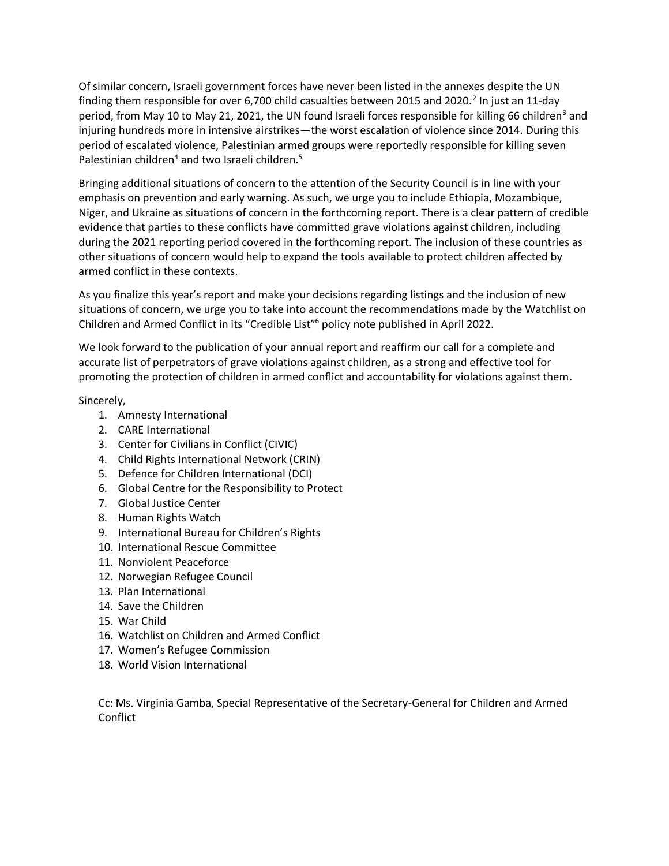Of similar concern, Israeli government forces have never been listed in the annexes despite the UN finding them responsible for over 6,700 child casualties between 2015 and 2020.<sup>2</sup> In just an 11-day period, from May 10 to May 21, 2021, the UN found Israeli forces responsible for killing 66 children<sup>3</sup> and injuring hundreds more in intensive airstrikes—the worst escalation of violence since 2014. During this period of escalated violence, Palestinian armed groups were reportedly responsible for killing seven Palestinian children<sup>4</sup> and two Israeli children.<sup>5</sup>

Bringing additional situations of concern to the attention of the Security Council is in line with your emphasis on prevention and early warning. As such, we urge you to include Ethiopia, Mozambique, Niger, and Ukraine as situations of concern in the forthcoming report. There is a clear pattern of credible evidence that parties to these conflicts have committed grave violations against children, including during the 2021 reporting period covered in the forthcoming report. The inclusion of these countries as other situations of concern would help to expand the tools available to protect children affected by armed conflict in these contexts.

As you finalize this year's report and make your decisions regarding listings and the inclusion of new situations of concern, we urge you to take into account the recommendations made by the Watchlist on Children and Armed Conflict in its "Credible List" <sup>6</sup> policy note published in April 2022.

We look forward to the publication of your annual report and reaffirm our call for a complete and accurate list of perpetrators of grave violations against children, as a strong and effective tool for promoting the protection of children in armed conflict and accountability for violations against them.

Sincerely,

- 1. Amnesty International
- 2. CARE International
- 3. Center for Civilians in Conflict (CIVIC)
- 4. Child Rights International Network (CRIN)
- 5. Defence for Children International (DCI)
- 6. Global Centre for the Responsibility to Protect
- 7. Global Justice Center
- 8. Human Rights Watch
- 9. International Bureau for Children's Rights
- 10. International Rescue Committee
- 11. Nonviolent Peaceforce
- 12. Norwegian Refugee Council
- 13. Plan International
- 14. Save the Children
- 15. War Child
- 16. Watchlist on Children and Armed Conflict
- 17. Women's Refugee Commission
- 18. World Vision International

Cc: Ms. Virginia Gamba, Special Representative of the Secretary-General for Children and Armed Conflict